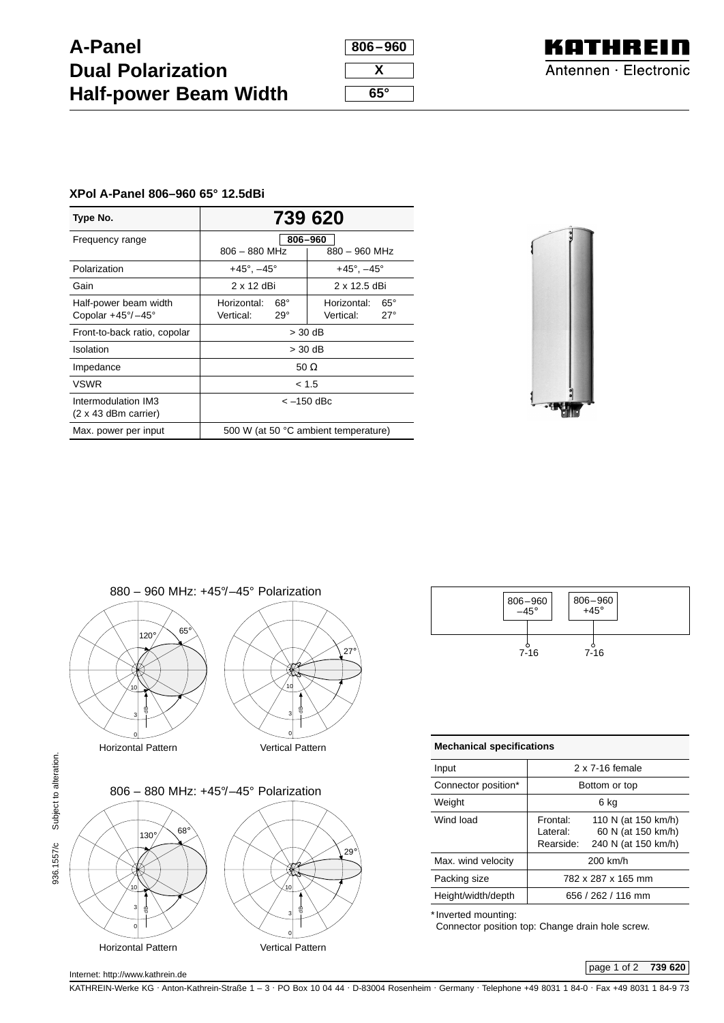## **A-Panel Dual Polarization Half-power Beam Width**

| 806–960 |
|---------|
|         |
| х       |
|         |
| 65°     |



## **XPol A-Panel 806–960 65° 12.5dBi**

| Type No.                                           | 739 620                              |                               |  |  |
|----------------------------------------------------|--------------------------------------|-------------------------------|--|--|
| Frequency range                                    | 806-960                              |                               |  |  |
|                                                    | $806 - 880$ MHz                      | $880 - 960$ MHz               |  |  |
| Polarization                                       | $+45^{\circ}$ , $-45^{\circ}$        | $+45^{\circ}$ , $-45^{\circ}$ |  |  |
| Gain                                               | 2 x 12 dBi                           | 2 x 12.5 dBi                  |  |  |
| Half-power beam width                              | $68^\circ$<br>Horizontal:            | $65^{\circ}$<br>Horizontal:   |  |  |
| Copolar $+45^{\circ}/-45^{\circ}$                  | Vertical:<br>$29^\circ$              | Vertical:<br>$27^\circ$       |  |  |
| Front-to-back ratio, copolar                       | $>$ 30 dB                            |                               |  |  |
| <b>Isolation</b>                                   | $>$ 30 dB                            |                               |  |  |
| Impedance                                          | 50 $\Omega$                          |                               |  |  |
| <b>VSWR</b>                                        | < 1.5                                |                               |  |  |
| Intermodulation IM3<br>$(2 \times 43$ dBm carrier) | $<-150$ dBc                          |                               |  |  |
| Max. power per input                               | 500 W (at 50 °C ambient temperature) |                               |  |  |







| <b>Mechanical specifications</b> |                                    |                                                                  |  |
|----------------------------------|------------------------------------|------------------------------------------------------------------|--|
| Input                            | 2 x 7-16 female                    |                                                                  |  |
| Connector position*              | Bottom or top                      |                                                                  |  |
| Weight                           | 6 ka                               |                                                                  |  |
| Wind load                        | Frontal:<br>I ateral:<br>Rearside: | 110 N (at 150 km/h)<br>60 N (at 150 km/h)<br>240 N (at 150 km/h) |  |
| Max. wind velocity               | 200 km/h                           |                                                                  |  |
| Packing size                     | 782 x 287 x 165 mm                 |                                                                  |  |
| Height/width/depth               | 656 / 262 / 116 mm                 |                                                                  |  |

\* Inverted mounting:

Connector position top: Change drain hole screw.

KATHREIN-Werke KG . Anton-Kathrein-Straße 1 – 3 . PO Box 10 04 44 . D-83004 Rosenheim . Germany . Telephone +49 8031 1 84-0 . Fax +49 8031 1 84-9 73